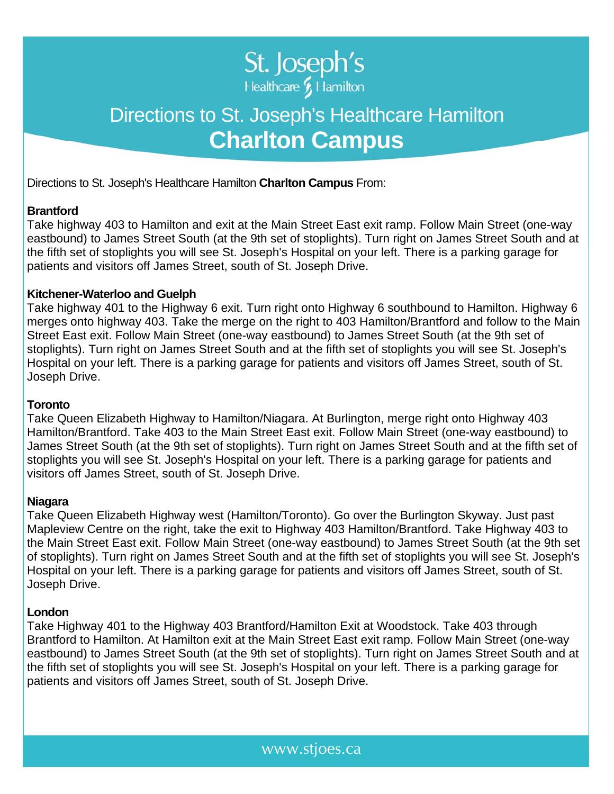

# Directions to St. Joseph's Healthcare Hamilton **Charlton Campus**

Directions to St. Joseph's Healthcare Hamilton **Charlton Campus** From:

## **Brantford**

Take highway 403 to Hamilton and exit at the Main Street East exit ramp. Follow Main Street (one-way eastbound) to James Street South (at the 9th set of stoplights). Turn right on James Street South and at the fifth set of stoplights you will see St. Joseph's Hospital on your left. There is a parking garage for patients and visitors off James Street, south of St. Joseph Drive.

### **Kitchener-Waterloo and Guelph**

Take highway 401 to the Highway 6 exit. Turn right onto Highway 6 southbound to Hamilton. Highway 6 merges onto highway 403. Take the merge on the right to 403 Hamilton/Brantford and follow to the Main Street East exit. Follow Main Street (one-way eastbound) to James Street South (at the 9th set of stoplights). Turn right on James Street South and at the fifth set of stoplights you will see St. Joseph's Hospital on your left. There is a parking garage for patients and visitors off James Street, south of St. Joseph Drive.

#### **Toronto**

Take Queen Elizabeth Highway to Hamilton/Niagara. At Burlington, merge right onto Highway 403 Hamilton/Brantford. Take 403 to the Main Street East exit. Follow Main Street (one-way eastbound) to James Street South (at the 9th set of stoplights). Turn right on James Street South and at the fifth set of stoplights you will see St. Joseph's Hospital on your left. There is a parking garage for patients and visitors off James Street, south of St. Joseph Drive.

#### **Niagara**

Take Queen Elizabeth Highway west (Hamilton/Toronto). Go over the Burlington Skyway. Just past Mapleview Centre on the right, take the exit to Highway 403 Hamilton/Brantford. Take Highway 403 to the Main Street East exit. Follow Main Street (one-way eastbound) to James Street South (at the 9th set of stoplights). Turn right on James Street South and at the fifth set of stoplights you will see St. Joseph's Hospital on your left. There is a parking garage for patients and visitors off James Street, south of St. Joseph Drive.

#### **London**

Take Highway 401 to the Highway 403 Brantford/Hamilton Exit at Woodstock. Take 403 through Brantford to Hamilton. At Hamilton exit at the Main Street East exit ramp. Follow Main Street (one-way eastbound) to James Street South (at the 9th set of stoplights). Turn right on James Street South and at the fifth set of stoplights you will see St. Joseph's Hospital on your left. There is a parking garage for patients and visitors off James Street, south of St. Joseph Drive.